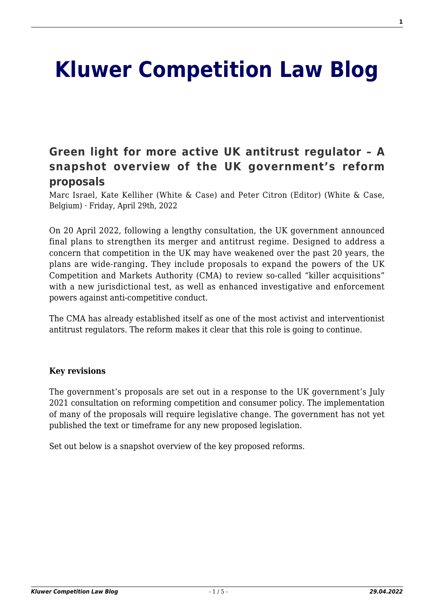# **[Kluwer Competition Law Blog](http://competitionlawblog.kluwercompetitionlaw.com/)**

## **[Green light for more active UK antitrust regulator – A](http://competitionlawblog.kluwercompetitionlaw.com/2022/04/29/green-light-for-more-active-uk-antitrust-regulator-a-snapshot-overview-of-the-uk-governments-reform-proposals/) [snapshot overview of the UK government's reform](http://competitionlawblog.kluwercompetitionlaw.com/2022/04/29/green-light-for-more-active-uk-antitrust-regulator-a-snapshot-overview-of-the-uk-governments-reform-proposals/) [proposals](http://competitionlawblog.kluwercompetitionlaw.com/2022/04/29/green-light-for-more-active-uk-antitrust-regulator-a-snapshot-overview-of-the-uk-governments-reform-proposals/)**

Marc Israel, Kate Kelliher (White & Case) and Peter Citron (Editor) (White & Case, Belgium) · Friday, April 29th, 2022

On 20 April 2022, following a lengthy consultation, the UK government announced final plans to strengthen its merger and antitrust regime. Designed to address a concern that competition in the UK may have weakened over the past 20 years, the plans are wide-ranging. They include proposals to expand the powers of the UK Competition and Markets Authority (CMA) to review so-called "killer acquisitions" with a new jurisdictional test, as well as enhanced investigative and enforcement powers against anti-competitive conduct.

The CMA has already established itself as one of the most activist and interventionist antitrust regulators. The reform makes it clear that this role is going to continue.

#### **Key revisions**

The government's proposals are set out in a response to the UK government's July 2021 consultation on reforming competition and consumer policy. The implementation of many of the proposals will require legislative change. The government has not yet published the text or timeframe for any new proposed legislation.

Set out below is a snapshot overview of the key proposed reforms.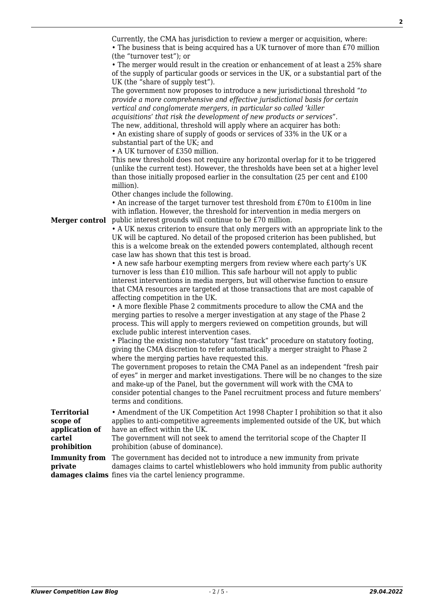| Merger control       | Currently, the CMA has jurisdiction to review a merger or acquisition, where:<br>• The business that is being acquired has a UK turnover of more than £70 million<br>(the "turnover test"); or<br>• The merger would result in the creation or enhancement of at least a 25% share<br>of the supply of particular goods or services in the UK, or a substantial part of the<br>UK (the "share of supply test").<br>The government now proposes to introduce a new jurisdictional threshold "to"<br>provide a more comprehensive and effective jurisdictional basis for certain<br>vertical and conglomerate mergers, in particular so called 'killer<br>acquisitions' that risk the development of new products or services".<br>The new, additional, threshold will apply where an acquirer has both:<br>• An existing share of supply of goods or services of 33% in the UK or a<br>substantial part of the UK; and<br>• A UK turnover of £350 million.<br>This new threshold does not require any horizontal overlap for it to be triggered<br>(unlike the current test). However, the thresholds have been set at a higher level<br>than those initially proposed earlier in the consultation (25 per cent and £100<br>million).<br>Other changes include the following.<br>• An increase of the target turnover test threshold from £70m to £100m in line<br>with inflation. However, the threshold for intervention in media mergers on<br>public interest grounds will continue to be £70 million.<br>• A UK nexus criterion to ensure that only mergers with an appropriate link to the<br>UK will be captured. No detail of the proposed criterion has been published, but<br>this is a welcome break on the extended powers contemplated, although recent<br>case law has shown that this test is broad.<br>• A new safe harbour exempting mergers from review where each party's UK<br>turnover is less than £10 million. This safe harbour will not apply to public<br>interest interventions in media mergers, but will otherwise function to ensure<br>that CMA resources are targeted at those transactions that are most capable of<br>affecting competition in the UK.<br>• A more flexible Phase 2 commitments procedure to allow the CMA and the<br>merging parties to resolve a merger investigation at any stage of the Phase 2<br>process. This will apply to mergers reviewed on competition grounds, but will<br>exclude public interest intervention cases.<br>• Placing the existing non-statutory "fast track" procedure on statutory footing,<br>giving the CMA discretion to refer automatically a merger straight to Phase 2<br>where the merging parties have requested this.<br>The government proposes to retain the CMA Panel as an independent "fresh pair<br>of eyes" in merger and market investigations. There will be no changes to the size<br>and make-up of the Panel, but the government will work with the CMA to<br>consider potential changes to the Panel recruitment process and future members'<br>terms and conditions. |
|----------------------|---------------------------------------------------------------------------------------------------------------------------------------------------------------------------------------------------------------------------------------------------------------------------------------------------------------------------------------------------------------------------------------------------------------------------------------------------------------------------------------------------------------------------------------------------------------------------------------------------------------------------------------------------------------------------------------------------------------------------------------------------------------------------------------------------------------------------------------------------------------------------------------------------------------------------------------------------------------------------------------------------------------------------------------------------------------------------------------------------------------------------------------------------------------------------------------------------------------------------------------------------------------------------------------------------------------------------------------------------------------------------------------------------------------------------------------------------------------------------------------------------------------------------------------------------------------------------------------------------------------------------------------------------------------------------------------------------------------------------------------------------------------------------------------------------------------------------------------------------------------------------------------------------------------------------------------------------------------------------------------------------------------------------------------------------------------------------------------------------------------------------------------------------------------------------------------------------------------------------------------------------------------------------------------------------------------------------------------------------------------------------------------------------------------------------------------------------------------------------------------------------------------------------------------------------------------------------------------------------------------------------------------------------------------------------------------------------------------------------------------------------------------------------------------------------------------------------------------------------------------------------------------------------------------------------------------------------------------------------------------------------------------------------------------------------------------------------|
| <b>Territorial</b>   | • Amendment of the UK Competition Act 1998 Chapter I prohibition so that it also                                                                                                                                                                                                                                                                                                                                                                                                                                                                                                                                                                                                                                                                                                                                                                                                                                                                                                                                                                                                                                                                                                                                                                                                                                                                                                                                                                                                                                                                                                                                                                                                                                                                                                                                                                                                                                                                                                                                                                                                                                                                                                                                                                                                                                                                                                                                                                                                                                                                                                                                                                                                                                                                                                                                                                                                                                                                                                                                                                                          |
| scope of             | applies to anti-competitive agreements implemented outside of the UK, but which                                                                                                                                                                                                                                                                                                                                                                                                                                                                                                                                                                                                                                                                                                                                                                                                                                                                                                                                                                                                                                                                                                                                                                                                                                                                                                                                                                                                                                                                                                                                                                                                                                                                                                                                                                                                                                                                                                                                                                                                                                                                                                                                                                                                                                                                                                                                                                                                                                                                                                                                                                                                                                                                                                                                                                                                                                                                                                                                                                                           |
| application of       | have an effect within the UK.                                                                                                                                                                                                                                                                                                                                                                                                                                                                                                                                                                                                                                                                                                                                                                                                                                                                                                                                                                                                                                                                                                                                                                                                                                                                                                                                                                                                                                                                                                                                                                                                                                                                                                                                                                                                                                                                                                                                                                                                                                                                                                                                                                                                                                                                                                                                                                                                                                                                                                                                                                                                                                                                                                                                                                                                                                                                                                                                                                                                                                             |
| cartel               | The government will not seek to amend the territorial scope of the Chapter II<br>prohibition (abuse of dominance).                                                                                                                                                                                                                                                                                                                                                                                                                                                                                                                                                                                                                                                                                                                                                                                                                                                                                                                                                                                                                                                                                                                                                                                                                                                                                                                                                                                                                                                                                                                                                                                                                                                                                                                                                                                                                                                                                                                                                                                                                                                                                                                                                                                                                                                                                                                                                                                                                                                                                                                                                                                                                                                                                                                                                                                                                                                                                                                                                        |
| prohibition          |                                                                                                                                                                                                                                                                                                                                                                                                                                                                                                                                                                                                                                                                                                                                                                                                                                                                                                                                                                                                                                                                                                                                                                                                                                                                                                                                                                                                                                                                                                                                                                                                                                                                                                                                                                                                                                                                                                                                                                                                                                                                                                                                                                                                                                                                                                                                                                                                                                                                                                                                                                                                                                                                                                                                                                                                                                                                                                                                                                                                                                                                           |
| <b>Immunity from</b> | The government has decided not to introduce a new immunity from private                                                                                                                                                                                                                                                                                                                                                                                                                                                                                                                                                                                                                                                                                                                                                                                                                                                                                                                                                                                                                                                                                                                                                                                                                                                                                                                                                                                                                                                                                                                                                                                                                                                                                                                                                                                                                                                                                                                                                                                                                                                                                                                                                                                                                                                                                                                                                                                                                                                                                                                                                                                                                                                                                                                                                                                                                                                                                                                                                                                                   |
| private              | damages claims to cartel whistleblowers who hold immunity from public authority<br>damages claims fines via the cartel leniency programme.                                                                                                                                                                                                                                                                                                                                                                                                                                                                                                                                                                                                                                                                                                                                                                                                                                                                                                                                                                                                                                                                                                                                                                                                                                                                                                                                                                                                                                                                                                                                                                                                                                                                                                                                                                                                                                                                                                                                                                                                                                                                                                                                                                                                                                                                                                                                                                                                                                                                                                                                                                                                                                                                                                                                                                                                                                                                                                                                |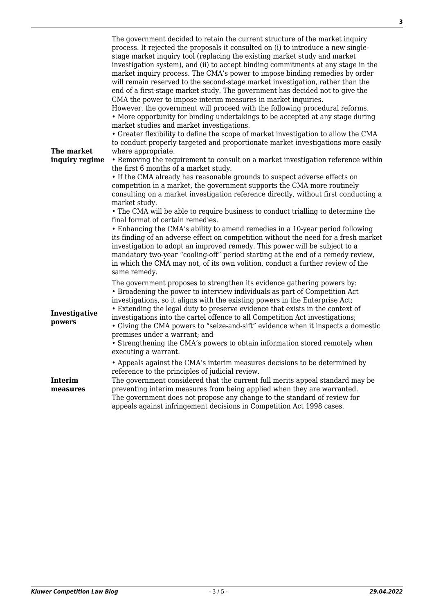**3**

| The market<br>inquiry regime | The government decided to retain the current structure of the market inquiry<br>process. It rejected the proposals it consulted on (i) to introduce a new single-<br>stage market inquiry tool (replacing the existing market study and market<br>investigation system), and (ii) to accept binding commitments at any stage in the<br>market inquiry process. The CMA's power to impose binding remedies by order<br>will remain reserved to the second-stage market investigation, rather than the<br>end of a first-stage market study. The government has decided not to give the<br>CMA the power to impose interim measures in market inquiries.<br>However, the government will proceed with the following procedural reforms.<br>• More opportunity for binding undertakings to be accepted at any stage during<br>market studies and market investigations.<br>• Greater flexibility to define the scope of market investigation to allow the CMA<br>to conduct properly targeted and proportionate market investigations more easily<br>where appropriate.<br>• Removing the requirement to consult on a market investigation reference within<br>the first 6 months of a market study.<br>• If the CMA already has reasonable grounds to suspect adverse effects on<br>competition in a market, the government supports the CMA more routinely<br>consulting on a market investigation reference directly, without first conducting a<br>market study.<br>• The CMA will be able to require business to conduct trialling to determine the<br>final format of certain remedies.<br>• Enhancing the CMA's ability to amend remedies in a 10-year period following<br>its finding of an adverse effect on competition without the need for a fresh market<br>investigation to adopt an improved remedy. This power will be subject to a<br>mandatory two-year "cooling-off" period starting at the end of a remedy review,<br>in which the CMA may not, of its own volition, conduct a further review of the<br>same remedy. |
|------------------------------|---------------------------------------------------------------------------------------------------------------------------------------------------------------------------------------------------------------------------------------------------------------------------------------------------------------------------------------------------------------------------------------------------------------------------------------------------------------------------------------------------------------------------------------------------------------------------------------------------------------------------------------------------------------------------------------------------------------------------------------------------------------------------------------------------------------------------------------------------------------------------------------------------------------------------------------------------------------------------------------------------------------------------------------------------------------------------------------------------------------------------------------------------------------------------------------------------------------------------------------------------------------------------------------------------------------------------------------------------------------------------------------------------------------------------------------------------------------------------------------------------------------------------------------------------------------------------------------------------------------------------------------------------------------------------------------------------------------------------------------------------------------------------------------------------------------------------------------------------------------------------------------------------------------------------------------------------------------------------------------------------------------------------------------|
| Investigative<br>powers      | The government proposes to strengthen its evidence gathering powers by:<br>• Broadening the power to interview individuals as part of Competition Act<br>investigations, so it aligns with the existing powers in the Enterprise Act;<br>• Extending the legal duty to preserve evidence that exists in the context of<br>investigations into the cartel offence to all Competition Act investigations;<br>• Giving the CMA powers to "seize-and-sift" evidence when it inspects a domestic<br>premises under a warrant; and<br>• Strengthening the CMA's powers to obtain information stored remotely when<br>executing a warrant.                                                                                                                                                                                                                                                                                                                                                                                                                                                                                                                                                                                                                                                                                                                                                                                                                                                                                                                                                                                                                                                                                                                                                                                                                                                                                                                                                                                                   |
| <b>Interim</b><br>measures   | • Appeals against the CMA's interim measures decisions to be determined by<br>reference to the principles of judicial review.<br>The government considered that the current full merits appeal standard may be<br>preventing interim measures from being applied when they are warranted.<br>The government does not propose any change to the standard of review for<br>appeals against infringement decisions in Competition Act 1998 cases.                                                                                                                                                                                                                                                                                                                                                                                                                                                                                                                                                                                                                                                                                                                                                                                                                                                                                                                                                                                                                                                                                                                                                                                                                                                                                                                                                                                                                                                                                                                                                                                        |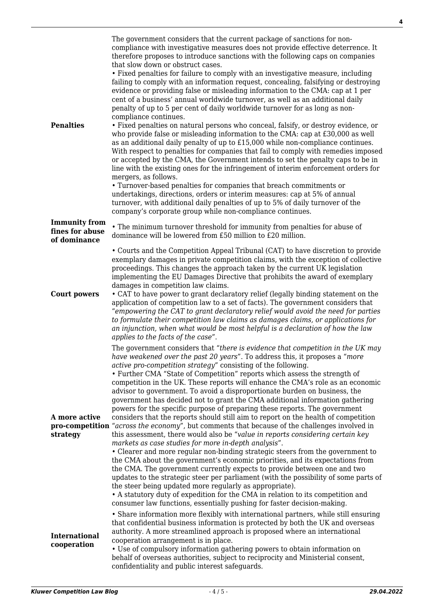| <b>Penalties</b>                                        | The government considers that the current package of sanctions for non-<br>compliance with investigative measures does not provide effective deterrence. It<br>therefore proposes to introduce sanctions with the following caps on companies<br>that slow down or obstruct cases.<br>• Fixed penalties for failure to comply with an investigative measure, including<br>failing to comply with an information request, concealing, falsifying or destroying<br>evidence or providing false or misleading information to the CMA: cap at 1 per<br>cent of a business' annual worldwide turnover, as well as an additional daily<br>penalty of up to 5 per cent of daily worldwide turnover for as long as non-<br>compliance continues.<br>• Fixed penalties on natural persons who conceal, falsify, or destroy evidence, or<br>who provide false or misleading information to the CMA: cap at £30,000 as well<br>as an additional daily penalty of up to £15,000 while non-compliance continues.<br>With respect to penalties for companies that fail to comply with remedies imposed<br>or accepted by the CMA, the Government intends to set the penalty caps to be in<br>line with the existing ones for the infringement of interim enforcement orders for<br>mergers, as follows.<br>• Turnover-based penalties for companies that breach commitments or<br>undertakings, directions, orders or interim measures: cap at 5% of annual<br>turnover, with additional daily penalties of up to 5% of daily turnover of the<br>company's corporate group while non-compliance continues. |
|---------------------------------------------------------|----------------------------------------------------------------------------------------------------------------------------------------------------------------------------------------------------------------------------------------------------------------------------------------------------------------------------------------------------------------------------------------------------------------------------------------------------------------------------------------------------------------------------------------------------------------------------------------------------------------------------------------------------------------------------------------------------------------------------------------------------------------------------------------------------------------------------------------------------------------------------------------------------------------------------------------------------------------------------------------------------------------------------------------------------------------------------------------------------------------------------------------------------------------------------------------------------------------------------------------------------------------------------------------------------------------------------------------------------------------------------------------------------------------------------------------------------------------------------------------------------------------------------------------------------------------------------------------------|
| <b>Immunity from</b><br>fines for abuse<br>of dominance | • The minimum turnover threshold for immunity from penalties for abuse of<br>dominance will be lowered from £50 million to £20 million.                                                                                                                                                                                                                                                                                                                                                                                                                                                                                                                                                                                                                                                                                                                                                                                                                                                                                                                                                                                                                                                                                                                                                                                                                                                                                                                                                                                                                                                      |
| <b>Court powers</b>                                     | • Courts and the Competition Appeal Tribunal (CAT) to have discretion to provide<br>exemplary damages in private competition claims, with the exception of collective<br>proceedings. This changes the approach taken by the current UK legislation<br>implementing the EU Damages Directive that prohibits the award of exemplary<br>damages in competition law claims.<br>• CAT to have power to grant declaratory relief (legally binding statement on the<br>application of competition law to a set of facts). The government considers that<br>"empowering the CAT to grant declaratory relief would avoid the need for parties<br>to formulate their competition law claims as damages claims, or applications for<br>an injunction, when what would be most helpful is a declaration of how the law<br>applies to the facts of the case".                                                                                                                                                                                                                                                                                                                                                                                                                                                                                                                                                                                                                                                                                                                                            |
| A more active<br>strategy                               | The government considers that "there is evidence that competition in the UK may<br>have weakened over the past 20 years". To address this, it proposes a "more<br>active pro-competition strategy" consisting of the following.<br>• Further CMA "State of Competition" reports which assess the strength of<br>competition in the UK. These reports will enhance the CMA's role as an economic<br>advisor to government. To avoid a disproportionate burden on business, the<br>government has decided not to grant the CMA additional information gathering<br>powers for the specific purpose of preparing these reports. The government<br>considers that the reports should still aim to report on the health of competition<br><b>pro-competition</b> "across the economy", but comments that because of the challenges involved in<br>this assessment, there would also be "value in reports considering certain key<br>markets as case studies for more in-depth analysis".<br>• Clearer and more regular non-binding strategic steers from the government to<br>the CMA about the government's economic priorities, and its expectations from<br>the CMA. The government currently expects to provide between one and two<br>updates to the strategic steer per parliament (with the possibility of some parts of<br>the steer being updated more regularly as appropriate).<br>• A statutory duty of expedition for the CMA in relation to its competition and<br>consumer law functions, essentially pushing for faster decision-making.                                          |
| <b>International</b><br>cooperation                     | • Share information more flexibly with international partners, while still ensuring<br>that confidential business information is protected by both the UK and overseas<br>authority. A more streamlined approach is proposed where an international<br>cooperation arrangement is in place.<br>• Use of compulsory information gathering powers to obtain information on<br>behalf of overseas authorities, subject to reciprocity and Ministerial consent,<br>confidentiality and public interest safeguards.                                                                                                                                                                                                                                                                                                                                                                                                                                                                                                                                                                                                                                                                                                                                                                                                                                                                                                                                                                                                                                                                               |

**4**